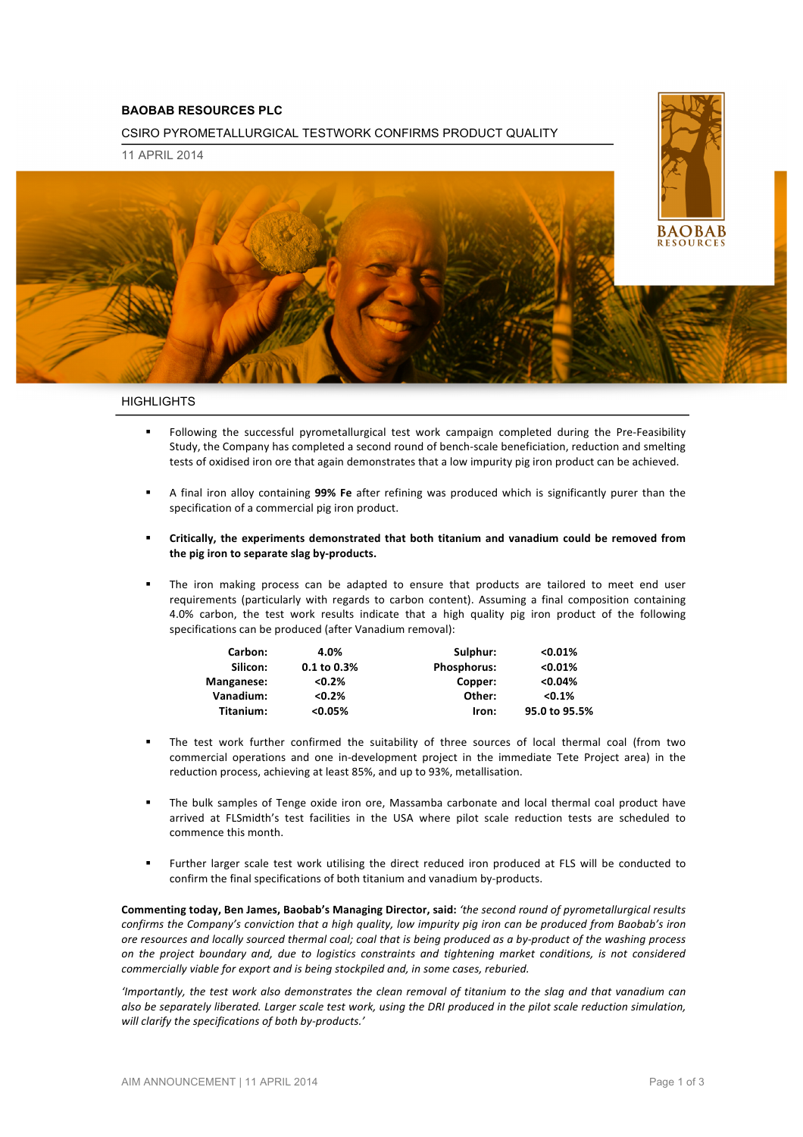# **BAOBAB RESOURCES PLC**

CSIRO PYROMETALLURGICAL TESTWORK CONFIRMS PRODUCT QUALITY

11 APRIL 2014



### **HIGHLIGHTS**

- Following the successful pyrometallurgical test work campaign completed during the Pre-Feasibility Study, the Company has completed a second round of bench-scale beneficiation, reduction and smelting tests of oxidised iron ore that again demonstrates that a low impurity pig iron product can be achieved.
- A final iron alloy containing **99% Fe** after refining was produced which is significantly purer than the specification of a commercial pig iron product.
- Critically, the experiments demonstrated that both titanium and vanadium could be removed from the pig iron to separate slag by-products.
- The iron making process can be adapted to ensure that products are tailored to meet end user requirements (particularly with regards to carbon content). Assuming a final composition containing 4.0% carbon, the test work results indicate that a high quality pig iron product of the following specifications can be produced (after Vanadium removal):

| Carbon:    | 4.0%        | Sulphur:           | < 0.01%       |
|------------|-------------|--------------------|---------------|
| Silicon:   | 0.1 to 0.3% | <b>Phosphorus:</b> | < 0.01%       |
| Manganese: | $< 0.2\%$   | Copper:            | < 0.04%       |
| Vanadium:  | $< 0.2\%$   | Other:             | $< 0.1\%$     |
| Titanium:  | $< 0.05\%$  | Iron:              | 95.0 to 95.5% |

- The test work further confirmed the suitability of three sources of local thermal coal (from two commercial operations and one in-development project in the immediate Tete Project area) in the reduction process, achieving at least 85%, and up to 93%, metallisation.
- The bulk samples of Tenge oxide iron ore, Massamba carbonate and local thermal coal product have arrived at FLSmidth's test facilities in the USA where pilot scale reduction tests are scheduled to commence this month.
- Further larger scale test work utilising the direct reduced iron produced at FLS will be conducted to confirm the final specifications of both titanium and vanadium by-products.

Commenting **today, Ben James, Baobab's Managing Director, said:** 'the second round of pyrometallurgical results *confirms the Company's conviction that a high quality, low impurity pig iron can be produced from Baobab's iron* ore resources and locally sourced thermal coal; coal that is being produced as a by-product of the washing process on the project boundary and, due to logistics constraints and tightening market conditions, is not considered *commercially viable for export and is being stockpiled and, in some cases, reburied.* 

'Importantly, the test work also demonstrates the clean removal of titanium to the slag and that vanadium can also be separately liberated. Larger scale test work, using the DRI produced in the pilot scale reduction simulation, will clarify the specifications of both by-products.'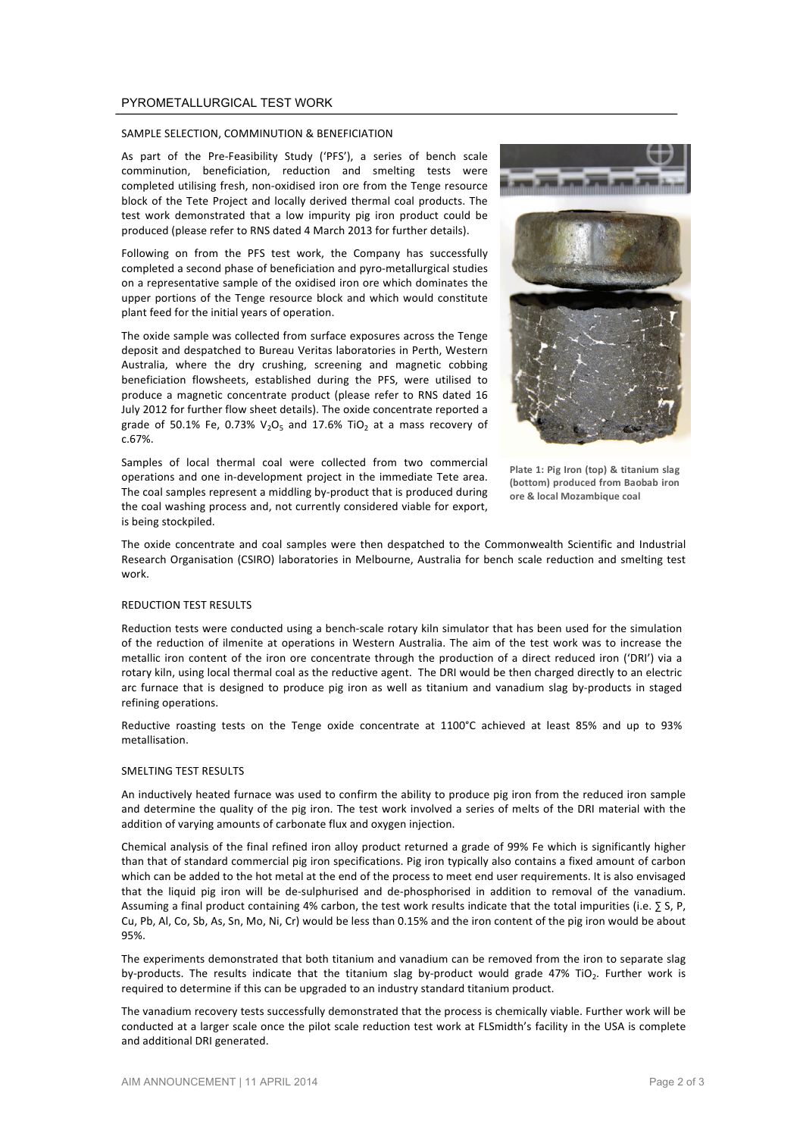### PYROMETALLURGICAL TEST WORK

#### SAMPLE SELECTION, COMMINUTION & BENEFICIATION

As part of the Pre-Feasibility Study ('PFS'), a series of bench scale comminution, beneficiation, reduction and smelting tests were completed utilising fresh, non-oxidised iron ore from the Tenge resource block of the Tete Project and locally derived thermal coal products. The test work demonstrated that a low impurity pig iron product could be produced (please refer to RNS dated 4 March 2013 for further details).

Following on from the PFS test work, the Company has successfully completed a second phase of beneficiation and pyro-metallurgical studies on a representative sample of the oxidised iron ore which dominates the upper portions of the Tenge resource block and which would constitute plant feed for the initial years of operation.

The oxide sample was collected from surface exposures across the Tenge deposit and despatched to Bureau Veritas laboratories in Perth, Western Australia, where the dry crushing, screening and magnetic cobbing beneficiation flowsheets, established during the PFS, were utilised to produce a magnetic concentrate product (please refer to RNS dated 16 July 2012 for further flow sheet details). The oxide concentrate reported a grade of 50.1% Fe, 0.73%  $V_2O_5$  and 17.6% TiO<sub>2</sub> at a mass recovery of c.67%.

Samples of local thermal coal were collected from two commercial operations and one in-development project in the immediate Tete area. The coal samples represent a middling by-product that is produced during the coal washing process and, not currently considered viable for export, is being stockpiled.



**Plate 1: Pig Iron (top) & titanium slag** (bottom) produced from Baobab iron **ore & local Mozambique coal**

The oxide concentrate and coal samples were then despatched to the Commonwealth Scientific and Industrial Research Organisation (CSIRO) laboratories in Melbourne, Australia for bench scale reduction and smelting test work.

#### REDUCTION TEST RESULTS

Reduction tests were conducted using a bench-scale rotary kiln simulator that has been used for the simulation of the reduction of ilmenite at operations in Western Australia. The aim of the test work was to increase the metallic iron content of the iron ore concentrate through the production of a direct reduced iron ('DRI') via a rotary kiln, using local thermal coal as the reductive agent. The DRI would be then charged directly to an electric arc furnace that is designed to produce pig iron as well as titanium and vanadium slag by-products in staged refining operations.

Reductive roasting tests on the Tenge oxide concentrate at 1100°C achieved at least 85% and up to 93% metallisation.

#### SMELTING TEST RESULTS

An inductively heated furnace was used to confirm the ability to produce pig iron from the reduced iron sample and determine the quality of the pig iron. The test work involved a series of melts of the DRI material with the addition of varying amounts of carbonate flux and oxygen injection.

Chemical analysis of the final refined iron alloy product returned a grade of 99% Fe which is significantly higher than that of standard commercial pig iron specifications. Pig iron typically also contains a fixed amount of carbon which can be added to the hot metal at the end of the process to meet end user requirements. It is also envisaged that the liquid pig iron will be de-sulphurised and de-phosphorised in addition to removal of the vanadium. Assuming a final product containing 4% carbon, the test work results indicate that the total impurities (i.e.  $\Sigma$  S, P, Cu, Pb, Al, Co, Sb, As, Sn, Mo, Ni, Cr) would be less than 0.15% and the iron content of the pig iron would be about 95%.

The experiments demonstrated that both titanium and vanadium can be removed from the iron to separate slag by-products. The results indicate that the titanium slag by-product would grade 47% TiO<sub>2</sub>. Further work is required to determine if this can be upgraded to an industry standard titanium product.

The vanadium recovery tests successfully demonstrated that the process is chemically viable. Further work will be conducted at a larger scale once the pilot scale reduction test work at FLSmidth's facility in the USA is complete and additional DRI generated.